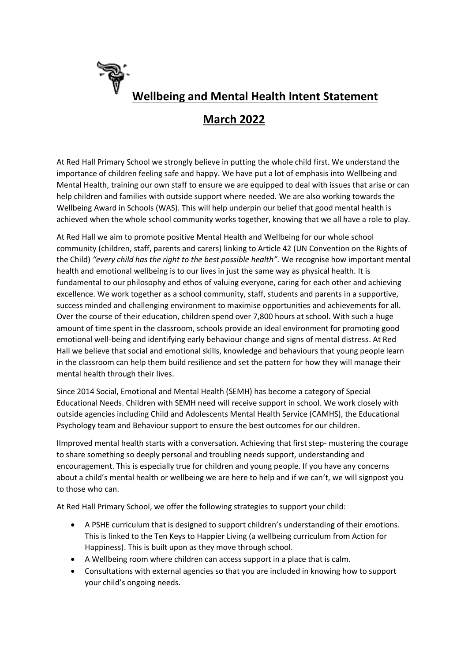

## **March 2022**

At Red Hall Primary School we strongly believe in putting the whole child first. We understand the importance of children feeling safe and happy. We have put a lot of emphasis into Wellbeing and Mental Health, training our own staff to ensure we are equipped to deal with issues that arise or can help children and families with outside support where needed. We are also working towards the Wellbeing Award in Schools (WAS). This will help underpin our belief that good mental health is achieved when the whole school community works together, knowing that we all have a role to play.

At Red Hall we aim to promote positive Mental Health and Wellbeing for our whole school community (children, staff, parents and carers) linking to Article 42 (UN Convention on the Rights of the Child) *"every child has the right to the best possible health".* We recognise how important mental health and emotional wellbeing is to our lives in just the same way as physical health. It is fundamental to our philosophy and ethos of valuing everyone, caring for each other and achieving excellence. We work together as a school community, staff, students and parents in a supportive, success minded and challenging environment to maximise opportunities and achievements for all. Over the course of their education, children spend over 7,800 hours at school. With such a huge amount of time spent in the classroom, schools provide an ideal environment for promoting good emotional well-being and identifying early behaviour change and signs of mental distress. At Red Hall we believe that social and emotional skills, knowledge and behaviours that young people learn in the classroom can help them build resilience and set the pattern for how they will manage their mental health through their lives.

Since 2014 Social, Emotional and Mental Health (SEMH) has become a category of Special Educational Needs. Children with SEMH need will receive support in school. We work closely with outside agencies including Child and Adolescents Mental Health Service (CAMHS), the Educational Psychology team and Behaviour support to ensure the best outcomes for our children.

IImproved mental health starts with a conversation. Achieving that first step- mustering the courage to share something so deeply personal and troubling needs support, understanding and encouragement. This is especially true for children and young people. If you have any concerns about a child's mental health or wellbeing we are here to help and if we can't, we will signpost you to those who can.

At Red Hall Primary School, we offer the following strategies to support your child:

- A PSHE curriculum that is designed to support children's understanding of their emotions. This is linked to the Ten Keys to Happier Living (a wellbeing curriculum from Action for Happiness). This is built upon as they move through school.
- A Wellbeing room where children can access support in a place that is calm.
- Consultations with external agencies so that you are included in knowing how to support your child's ongoing needs.